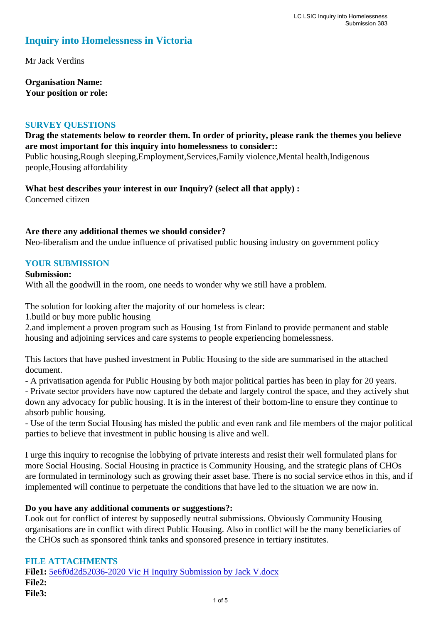## **Inquiry into Homelessness in Victoria**

Mr Jack Verdins

**Organisation Name: Your position or role:** 

#### **SURVEY QUESTIONS**

## **Drag the statements below to reorder them. In order of priority, please rank the themes you believe are most important for this inquiry into homelessness to consider::**

Public housing,Rough sleeping,Employment,Services,Family violence,Mental health,Indigenous people,Housing affordability

**What best describes your interest in our Inquiry? (select all that apply) :**  Concerned citizen

#### **Are there any additional themes we should consider?**

Neo-liberalism and the undue influence of privatised public housing industry on government policy

## **YOUR SUBMISSION**

#### **Submission:**

With all the goodwill in the room, one needs to wonder why we still have a problem.

The solution for looking after the majority of our homeless is clear:

1.build or buy more public housing

2.and implement a proven program such as Housing 1st from Finland to provide permanent and stable housing and adjoining services and care systems to people experiencing homelessness.

This factors that have pushed investment in Public Housing to the side are summarised in the attached document.

- A privatisation agenda for Public Housing by both major political parties has been in play for 20 years.

- Private sector providers have now captured the debate and largely control the space, and they actively shut down any advocacy for public housing. It is in the interest of their bottom-line to ensure they continue to absorb public housing.

- Use of the term Social Housing has misled the public and even rank and file members of the major political parties to believe that investment in public housing is alive and well.

I urge this inquiry to recognise the lobbying of private interests and resist their well formulated plans for more Social Housing. Social Housing in practice is Community Housing, and the strategic plans of CHOs are formulated in terminology such as growing their asset base. There is no social service ethos in this, and if implemented will continue to perpetuate the conditions that have led to the situation we are now in.

## **Do you have any additional comments or suggestions?:**

Look out for conflict of interest by supposedly neutral submissions. Obviously Community Housing organisations are in conflict with direct Public Housing. Also in conflict will be the many beneficiaries of the CHOs such as sponsored think tanks and sponsored presence in tertiary institutes.

## **FILE ATTACHMENTS**

**File1:** [5e6f0d2d52036-2020 Vic H Inquiry Submission by Jack V.docx](https://www.parliament.vic.gov.au/component/rsform/submission-view-file/4ded6e6a38c9c3c9401e9605860f9c27/8e82d0849010dde7f79a21bb020cb583?Itemid=463) **File2: File3:**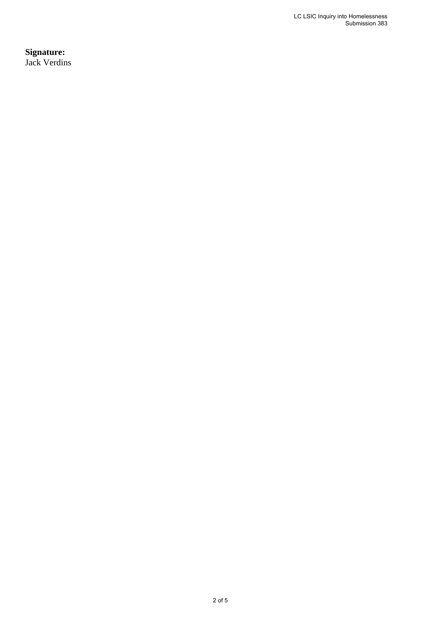**Signature:** Jack Verdins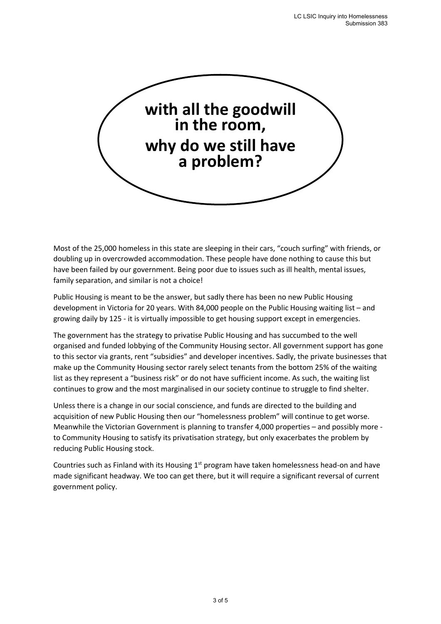

Most of the 25,000 homeless in this state are sleeping in their cars, "couch surfing" with friends, or doubling up in overcrowded accommodation. These people have done nothing to cause this but have been failed by our government. Being poor due to issues such as ill health, mental issues, family separation, and similar is not a choice!

Public Housing is meant to be the answer, but sadly there has been no new Public Housing development in Victoria for 20 years. With 84,000 people on the Public Housing waiting list – and growing daily by 125 - it is virtually impossible to get housing support except in emergencies.

The government has the strategy to privatise Public Housing and has succumbed to the well organised and funded lobbying of the Community Housing sector. All government support has gone to this sector via grants, rent "subsidies" and developer incentives. Sadly, the private businesses that make up the Community Housing sector rarely select tenants from the bottom 25% of the waiting list as they represent a "business risk" or do not have sufficient income. As such, the waiting list continues to grow and the most marginalised in our society continue to struggle to find shelter.

Unless there is a change in our social conscience, and funds are directed to the building and acquisition of new Public Housing then our "homelessness problem" will continue to get worse. Meanwhile the Victorian Government is planning to transfer 4,000 properties – and possibly more to Community Housing to satisfy its privatisation strategy, but only exacerbates the problem by reducing Public Housing stock.

Countries such as Finland with its Housing  $1<sup>st</sup>$  program have taken homelessness head-on and have made significant headway. We too can get there, but it will require a significant reversal of current government policy.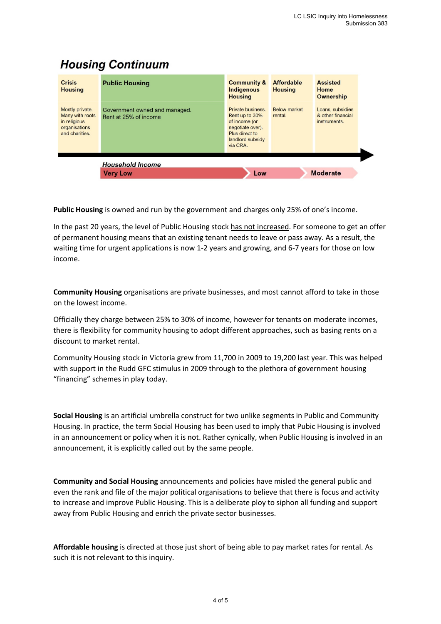# **Housing Continuum**

| <b>Crisis</b><br><b>Housing</b>                                                       | <b>Public Housing</b>                                  | <b>Community &amp;</b><br><b>Indigenous</b><br><b>Housing</b>                                                              | <b>Affordable</b><br><b>Housing</b> | <b>Assisted</b><br>Home<br><b>Ownership</b>           |  |
|---------------------------------------------------------------------------------------|--------------------------------------------------------|----------------------------------------------------------------------------------------------------------------------------|-------------------------------------|-------------------------------------------------------|--|
| Mostly private.<br>Many with roots<br>in religious<br>organisations<br>and charities. | Government owned and managed.<br>Rent at 25% of income | Private business.<br>Rent up to 30%<br>of income (or<br>negotiate over).<br>Plus direct to<br>landlord subsidy<br>via CRA. | <b>Below market</b><br>rental.      | Loans, subsidies<br>& other financial<br>instruments. |  |
|                                                                                       | <b>Household Income</b>                                |                                                                                                                            |                                     |                                                       |  |
|                                                                                       | <b>Very Low</b>                                        | Low                                                                                                                        |                                     | <b>Moderate</b>                                       |  |

**Public Housing** is owned and run by the government and charges only 25% of one's income.

In the past 20 years, the level of Public Housing stock has not increased. For someone to get an offer of permanent housing means that an existing tenant needs to leave or pass away. As a result, the waiting time for urgent applications is now 1-2 years and growing, and 6-7 years for those on low income.

**Community Housing** organisations are private businesses, and most cannot afford to take in those on the lowest income.

Officially they charge between 25% to 30% of income, however for tenants on moderate incomes, there is flexibility for community housing to adopt different approaches, such as basing rents on a discount to market rental.

Community Housing stock in Victoria grew from 11,700 in 2009 to 19,200 last year. This was helped with support in the Rudd GFC stimulus in 2009 through to the plethora of government housing "financing" schemes in play today.

**Social Housing** is an artificial umbrella construct for two unlike segments in Public and Community Housing. In practice, the term Social Housing has been used to imply that Pubic Housing is involved in an announcement or policy when it is not. Rather cynically, when Public Housing is involved in an announcement, it is explicitly called out by the same people.

**Community and Social Housing** announcements and policies have misled the general public and even the rank and file of the major political organisations to believe that there is focus and activity to increase and improve Public Housing. This is a deliberate ploy to siphon all funding and support away from Public Housing and enrich the private sector businesses.

**Affordable housing** is directed at those just short of being able to pay market rates for rental. As such it is not relevant to this inquiry.